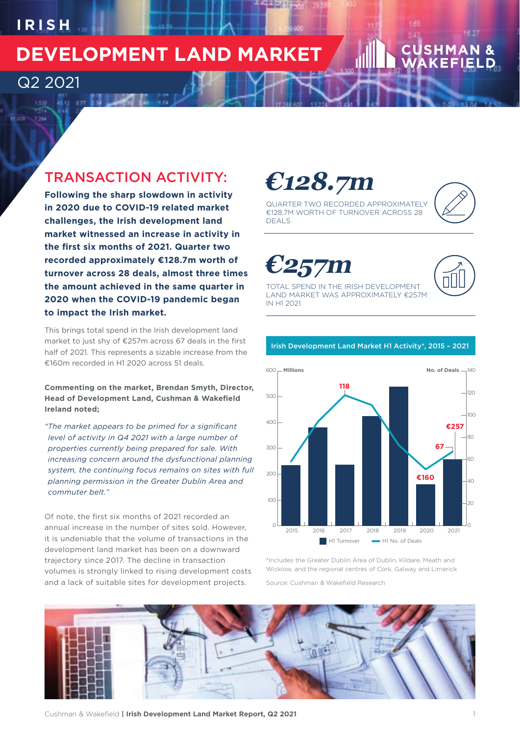## $IR$  ISH

Q2 2021

7.394

## **DEVELOPMENT LAND MARKET**

## TRANSACTION ACTIVITY:

**Following the sharp slowdown in activity in 2020 due to COVID-19 related market challenges, the Irish development land market witnessed an increase in activity in the first six months of 2021. Quarter two recorded approximately €128.7m worth of turnover across 28 deals, almost three times the amount achieved in the same quarter in 2020 when the COVID-19 pandemic began to impact the Irish market.** 

This brings total spend in the Irish development land market to just shy of €257m across 67 deals in the first half of 2021. This represents a sizable increase from the €160m recorded in H1 2020 across 51 deals.

**Commenting on the market, Brendan Smyth, Director, Head of Development Land, Cushman & Wakefield Ireland noted;**

*"The market appears to be primed for a significant level of activity in Q4 2021 with a large number of properties currently being prepared for sale. With increasing concern around the dysfunctional planning system, the continuing focus remains on sites with full planning permission in the Greater Dublin Area and commuter belt."*

Of note, the first six months of 2021 recorded an annual increase in the number of sites sold. However, it is undeniable that the volume of transactions in the development land market has been on a downward trajectory since 2017. The decline in transaction volumes is strongly linked to rising development costs and a lack of suitable sites for development projects.

# **€128.7m**



QUARTER TWO RECORDED APPROXIMATELY €128.7M WORTH OF TURNOVER ACROSS 28 DEALS

**€257m** 



TOTAL SPEND IN THE IRISH DEVELOPMENT LAND MARKET WAS APPROXIMATELY €257M IN H1 2021



Irish Development Land Market H1 Activity\*, 2015 – 2021

\*Includes the Greater Dublin Area of Dublin, Kildare, Meath and Wicklow, and the regional centres of Cork, Galway and Limerick Source: Cushman & Wakefield Research

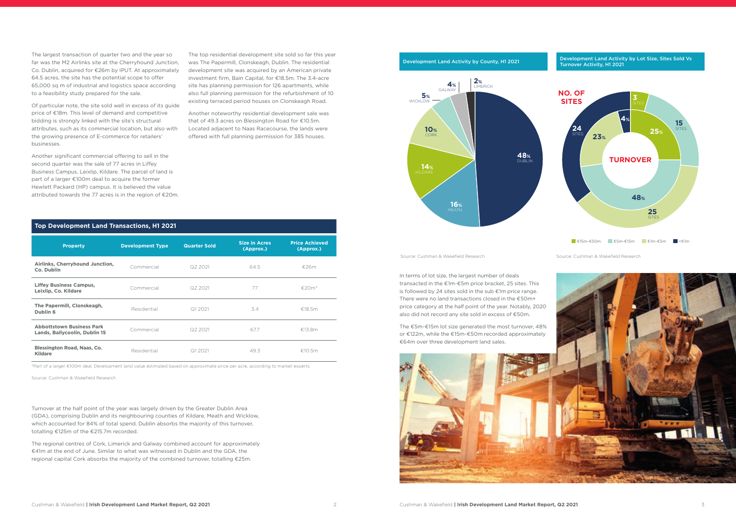Source: Cushman & Wakefield Research

#### Development Land Activity by County, H1 2021



The largest transaction of quarter two and the year so far was the M2 Airlinks site at the Cherryhound Junction, Co. Dublin, acquired for €26m by IPUT. At approximately 64.5 acres, the site has the potential scope to offer 65,000 sq m of industrial and logistics space according to a feasibility study prepared for the sale.

Of particular note, the site sold well in excess of its guide price of €18m. This level of demand and competitive bidding is strongly linked with the site's structural attributes, such as its commercial location, but also with the growing presence of E-commerce for retailers' businesses.

Another significant commercial offering to sell in the second quarter was the sale of 77 acres in Liffey Business Campus, Leixlip, Kildare. The parcel of land is part of a larger €100m deal to acquire the former Hewlett Packard (HP) campus. It is believed the value attributed towards the 77 acres is in the region of €20m.

In terms of lot size, the largest number of deals



Turnover at the half point of the year was largely driven by the Greater Dublin Area (GDA), comprising Dublin and its neighbouring counties of Kildare, Meath and Wicklow, which accounted for 84% of total spend. Dublin absorbs the majority of this turnover, totalling €125m of the €215.7m recorded.

The regional centres of Cork, Limerick and Galway combined account for approximately €41m at the end of June. Similar to what was witnessed in Dublin and the GDA, the regional capital Cork absorbs the majority of the combined turnover, totalling €25m.

The top residential development site sold so far this year was The Papermill, Clonskeagh, Dublin. The residential development site was acquired by an American private investment firm, Bain Capital, for €18.5m. The 3.4-acre site has planning permission for 126 apartments, while also full planning permission for the refurbishment of 10 existing terraced period houses on Clonskeagh Road.

Another noteworthy residential development sale was that of 49.3 acres on Blessington Road for €10.5m. Located adjacent to Naas Racecourse, the lands were offered with full planning permission for 385 houses.

Source: Cushman & Wakefield Research



#### Development Land Activity by Lot Size, Sites Sold Vs Turnover Activity, H1 2021

#### **Top Development Land Transactions, H1 2021**

| <b>Property</b>                                                   | <b>Development Type</b> | <b>Quarter Sold</b> | <b>Size in Acres</b><br>(Approx.) | <b>Price Achieved</b><br>(Approx.) |
|-------------------------------------------------------------------|-------------------------|---------------------|-----------------------------------|------------------------------------|
| Airlinks, Cherryhound Junction,<br>Co. Dublin                     | Commercial              | Q2 2021             | 64.5                              | €26m                               |
| <b>Liffey Business Campus,</b><br>Leixlip, Co. Kildare            | Commercial              | Q2 2021             | 77                                | €20 $m^*$                          |
| The Papermill, Clonskeagh,<br>Dublin 6                            | Residential             | Q1 2021             | 3.4                               | €18.5m                             |
| <b>Abbottstown Business Park</b><br>Lands, Ballycoolin, Dublin 15 | Commercial              | Q2 2021             | 67.7                              | €13.8m                             |
| <b>Blessington Road, Naas, Co.</b><br><b>Kildare</b>              | Residential             | Q1 2021             | 49.3                              | €10.5m                             |

\*Part of a larger €100m deal. Development land value estimated based on approximate price per acre, according to market experts.

Source: Cushman & Wakefield Research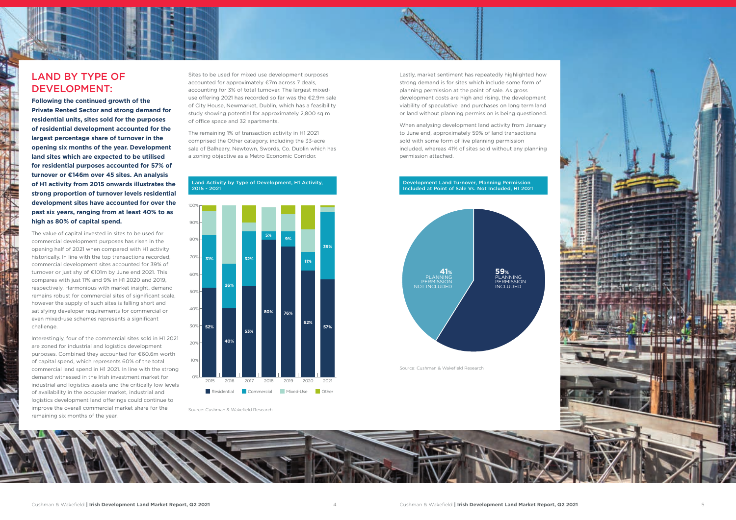

## LAND BY TYPE OF DEVELOPMENT:

**Following the continued growth of the Private Rented Sector and strong demand for residential units, sites sold for the purposes of residential development accounted for the largest percentage share of turnover in the opening six months of the year. Development land sites which are expected to be utilised for residential purposes accounted for 57% of turnover or €146m over 45 sites. An analysis of H1 activity from 2015 onwards illustrates the strong proportion of turnover levels residential development sites have accounted for over the past six years, ranging from at least 40% to as high as 80% of capital spend.** 

The value of capital invested in sites to be used for commercial development purposes has risen in the opening half of 2021 when compared with H1 activity historically. In line with the top transactions recorded, commercial development sites accounted for 39% of turnover or just shy of €101m by June end 2021. This compares with just 11% and 9% in H1 2020 and 2019, respectively. Harmonious with market insight, demand remains robust for commercial sites of significant scale, however the supply of such sites is falling short and satisfying developer requirements for commercial or even mixed-use schemes represents a significant challenge.

Interestingly, four of the commercial sites sold in H1 2021 are zoned for industrial and logistics development purposes. Combined they accounted for €60.6m worth of capital spend, which represents 60% of the total commercial land spend in H1 2021. In line with the strong demand witnessed in the Irish investment market for industrial and logistics assets and the critically low levels of availability in the occupier market, industrial and logistics development land offerings could continue to improve the overall commercial market share for the remaining six months of the year.

Sites to be used for mixed use development purposes accounted for approximately €7m across 7 deals, accounting for 3% of total turnover. The largest mixeduse offering 2021 has recorded so far was the €2.9m sale of City House, Newmarket, Dublin, which has a feasibility study showing potential for approximately 2,800 sq m of office space and 32 apartments.

The remaining 1% of transaction activity in H1 2021 comprised the Other category, including the 33-acre sale of Balheary, Newtown, Swords, Co. Dublin which has a zoning objective as a Metro Economic Corridor.

Lastly, market sentiment has repeatedly highlighted how strong demand is for sites which include some form of planning permission at the point of sale. As gross development costs are high and rising, the development viability of speculative land purchases on long term land or land without planning permission is being questioned.

When analysing development land activity from January to June end, approximately 59% of land transactions sold with some form of live planning permission included, whereas 41% of sites sold without any planning permission attached.



#### Development Land Turnover, Planning Permission Included at Point of Sale Vs. Not Included, H1 2021

Source: Cushman & Wakefield Research





Source: Cushman & Wakefield Research

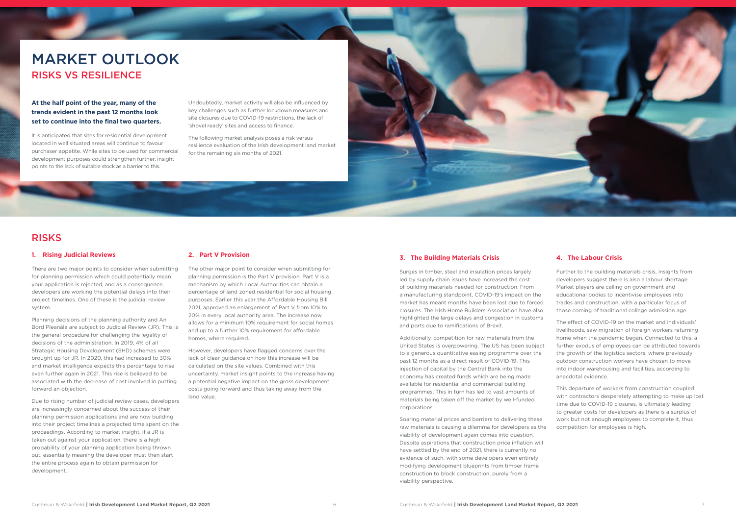

#### **1. Rising Judicial Reviews**

There are two major points to consider when submitting for planning permission which could potentially mean your application is rejected, and as a consequence, developers are working the potential delays into their project timelines. One of these is the judicial review system.

Planning decisions of the planning authority and An Bord Pleanála are subject to Judicial Review (JR). This is the general procedure for challenging the legality of decisions of the administration. In 2019, 4% of all Strategic Housing Development (SHD) schemes were brought up for JR. In 2020, this had increased to 30% and market intelligence expects this percentage to rise even further again in 2021. This rise is believed to be associated with the decrease of cost involved in putting forward an objection.

Due to rising number of judicial review cases, developers are increasingly concerned about the success of their planning permission applications and are now building into their project timelines a projected time spent on the proceedings. According to market insight, if a JR is taken out against your application, there is a high probability of your planning application being thrown out, essentially meaning the developer must then start the entire process again to obtain permission for development.

#### **2. Part V Provision**

The other major point to consider when submitting for planning permission is the Part V provision. Part V is a mechanism by which Local Authorities can obtain a percentage of land zoned residential for social housing purposes. Earlier this year the Affordable Housing Bill 2021, approved an enlargement of Part V from 10% to 20% in every local authority area. The increase now allows for a minimum 10% requirement for social homes and up to a further 10% requirement for affordable homes, where required.

However, developers have flagged concerns over the lack of clear guidance on how this increase will be calculated on the site values. Combined with this uncertainty, market insight points to the increase having a potential negative impact on the gross development costs going forward and thus taking away from the land value.

Undoubtedly, market activity will also be influenced by key challenges such as further lockdown measures and site closures due to COVID-19 restrictions, the lack of 'shovel ready' sites and access to finance.

The following market analysis poses a risk versus resilience evaluation of the Irish development land market for the remaining six months of 2021.

### **RISKS**

#### **At the half point of the year, many of the trends evident in the past 12 months look set to continue into the final two quarters.**

It is anticipated that sites for residential development located in well situated areas will continue to favour purchaser appetite. While sites to be used for commercial development purposes could strengthen further, insight points to the lack of suitable stock as a barrier to this.

## MARKET OUTLOOK RISKS VS RESILIENCE

#### **3. The Building Materials Crisis**

Surges in timber, steel and insulation prices largely led by supply chain issues have increased the cost of building materials needed for construction. From a manufacturing standpoint, COVID-19's impact on the market has meant months have been lost due to forced closures. The Irish Home Builders Association have also highlighted the large delays and congestion in customs and ports due to ramifications of Brexit.

Additionally, competition for raw materials from the United States is overpowering. The US has been subject to a generous quantitative easing programme over the past 12 months as a direct result of COVID-19. This injection of capital by the Central Bank into the economy has created funds which are being made available for residential and commercial building programmes. This in turn has led to vast amounts of materials being taken off the market by well-funded corporations.

Soaring material prices and barriers to delivering these raw materials is causing a dilemma for developers as the viability of development again comes into question. Despite aspirations that construction price inflation will have settled by the end of 2021, there is currently no evidence of such, with some developers even entirely modifying development blueprints from timber frame construction to block construction, purely from a viability perspective.

### **4. The Labour Crisis**

Further to the building materials crisis, insights from developers suggest there is also a labour shortage. Market players are calling on government and educational bodies to incentivise employees into trades and construction, with a particular focus of those coming of traditional college admission age.

The effect of COVID-19 on the market and individuals' livelihoods, saw migration of foreign workers returning home when the pandemic began. Connected to this, a further exodus of employees can be attributed towards the growth of the logistics sectors, where previously outdoor construction workers have chosen to move into indoor warehousing and facilities, according to anecdotal evidence.

This departure of workers from construction coupled with contractors desperately attempting to make up lost time due to COVID-19 closures, is ultimately leading to greater costs for developers as there is a surplus of work but not enough employees to complete it, thus competition for employees is high.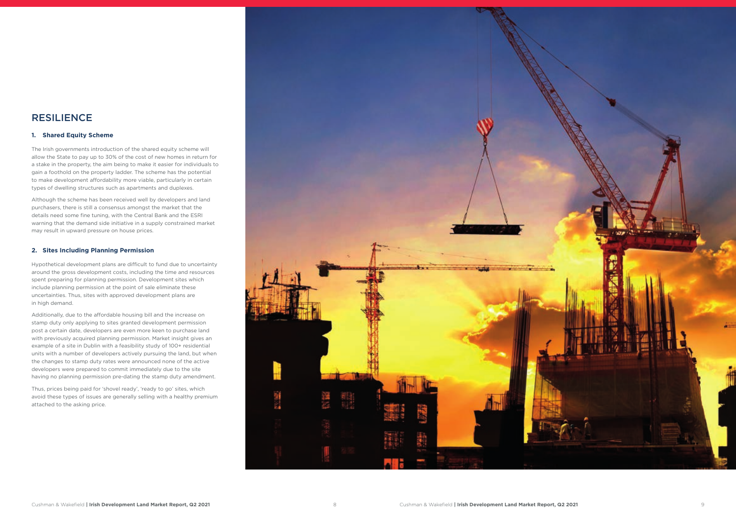#### **1. Shared Equity Scheme**

The Irish governments introduction of the shared equity scheme will allow the State to pay up to 30% of the cost of new homes in return for a stake in the property, the aim being to make it easier for individuals to gain a foothold on the property ladder. The scheme has the potential to make development affordability more viable, particularly in certain types of dwelling structures such as apartments and duplexes.

Although the scheme has been received well by developers and land purchasers, there is still a consensus amongst the market that the details need some fine tuning, with the Central Bank and the ESRI warning that the demand side initiative in a supply constrained market may result in upward pressure on house prices.

#### **2. Sites Including Planning Permission**

Hypothetical development plans are difficult to fund due to uncertainty around the gross development costs, including the time and resources spent preparing for planning permission. Development sites which include planning permission at the point of sale eliminate these uncertainties. Thus, sites with approved development plans are in high demand.

Additionally, due to the affordable housing bill and the increase on stamp duty only applying to sites granted development permission post a certain date, developers are even more keen to purchase land with previously acquired planning permission. Market insight gives an example of a site in Dublin with a feasibility study of 100+ residential units with a number of developers actively pursuing the land, but when the changes to stamp duty rates were announced none of the active developers were prepared to commit immediately due to the site having no planning permission pre-dating the stamp duty amendment.

Thus, prices being paid for 'shovel ready', 'ready to go' sites, which avoid these types of issues are generally selling with a healthy premium attached to the asking price.



### RESILIENCE